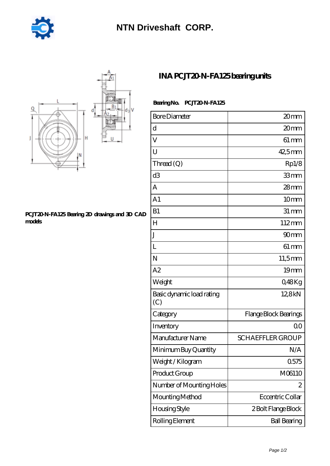

## **[NTN Driveshaft CORP.](https://m.stopmeletspray.com)**



## **[PCJT20-N-FA125 Bearing 2D drawings and 3D CAD](https://m.stopmeletspray.com/pic-45819.html) [models](https://m.stopmeletspray.com/pic-45819.html)**

## **[INA PCJT20-N-FA125 bearing units](https://m.stopmeletspray.com/az-45819-ina-pcjt20-n-fa125-bearing-units.html)**

## Bearing No. PCJT20N-FA125

| <b>Bore Diameter</b>             | 20 <sub>mm</sub>        |
|----------------------------------|-------------------------|
| d                                | 20 <sub>mm</sub>        |
| V                                | $61 \, \text{mm}$       |
| U                                | 42,5mm                  |
| Thread (Q)                       | Rp1/8                   |
| d <sub>3</sub>                   | 33mm                    |
| A                                | $28 \text{mm}$          |
| A <sub>1</sub>                   | 10mm                    |
| B1                               | $31 \, \text{mm}$       |
| H                                | $112 \text{mm}$         |
| J                                | 90mm                    |
| L                                | $61 \, \text{mm}$       |
| N                                | 11,5mm                  |
| A2                               | 19 <sub>mm</sub>        |
| Weight                           | Q48Kg                   |
| Basic dynamic load rating<br>(C) | 12,8kN                  |
| Category                         | Flange Block Bearings   |
| Inventory                        | 0 <sup>0</sup>          |
| Manufacturer Name                | <b>SCHAEFFLER GROUP</b> |
| Minimum Buy Quantity             | N/A                     |
| Weight / Kilogram                | 0575                    |
| Product Group                    | M06110                  |
| Number of Mounting Holes         | 2                       |
| Mounting Method                  | Eccentric Collar        |
| Housing Style                    | 2 Bolt Flange Block     |
| Rolling Element                  | <b>Ball Bearing</b>     |